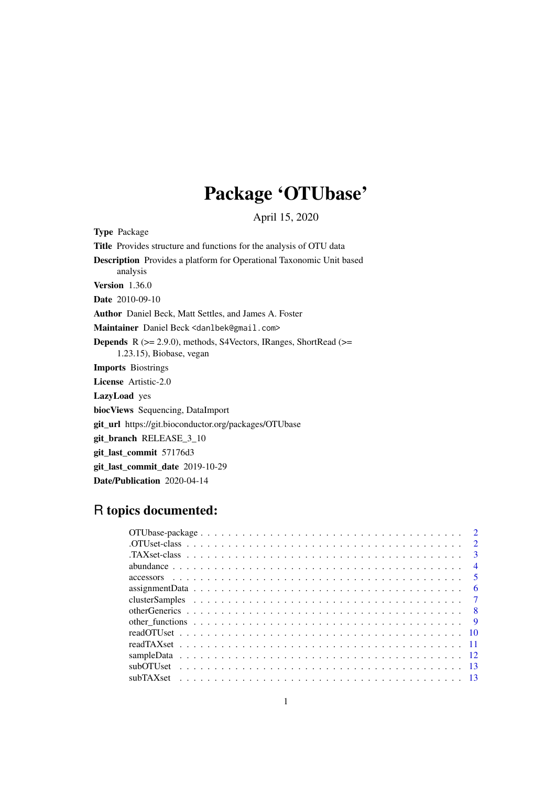# Package 'OTUbase'

April 15, 2020

<span id="page-0-0"></span>Type Package

Title Provides structure and functions for the analysis of OTU data

Description Provides a platform for Operational Taxonomic Unit based analysis

Version 1.36.0

Date 2010-09-10

Author Daniel Beck, Matt Settles, and James A. Foster

Maintainer Daniel Beck <danlbek@gmail.com>

Depends R (>= 2.9.0), methods, S4Vectors, IRanges, ShortRead (>= 1.23.15), Biobase, vegan

Imports Biostrings

License Artistic-2.0

LazyLoad yes

biocViews Sequencing, DataImport

git\_url https://git.bioconductor.org/packages/OTUbase

git\_branch RELEASE\_3\_10

git\_last\_commit 57176d3

git last commit date 2019-10-29

Date/Publication 2020-04-14

# R topics documented:

|  |  |  |  |  |  |  |  |  |  |  |  |  |  |  |  |  |  |  | $\overline{2}$          |
|--|--|--|--|--|--|--|--|--|--|--|--|--|--|--|--|--|--|--|-------------------------|
|  |  |  |  |  |  |  |  |  |  |  |  |  |  |  |  |  |  |  | $\overline{\mathbf{3}}$ |
|  |  |  |  |  |  |  |  |  |  |  |  |  |  |  |  |  |  |  | $\overline{4}$          |
|  |  |  |  |  |  |  |  |  |  |  |  |  |  |  |  |  |  |  | $\sqrt{5}$              |
|  |  |  |  |  |  |  |  |  |  |  |  |  |  |  |  |  |  |  | - 6                     |
|  |  |  |  |  |  |  |  |  |  |  |  |  |  |  |  |  |  |  |                         |
|  |  |  |  |  |  |  |  |  |  |  |  |  |  |  |  |  |  |  |                         |
|  |  |  |  |  |  |  |  |  |  |  |  |  |  |  |  |  |  |  |                         |
|  |  |  |  |  |  |  |  |  |  |  |  |  |  |  |  |  |  |  |                         |
|  |  |  |  |  |  |  |  |  |  |  |  |  |  |  |  |  |  |  |                         |
|  |  |  |  |  |  |  |  |  |  |  |  |  |  |  |  |  |  |  |                         |
|  |  |  |  |  |  |  |  |  |  |  |  |  |  |  |  |  |  |  |                         |
|  |  |  |  |  |  |  |  |  |  |  |  |  |  |  |  |  |  |  |                         |
|  |  |  |  |  |  |  |  |  |  |  |  |  |  |  |  |  |  |  |                         |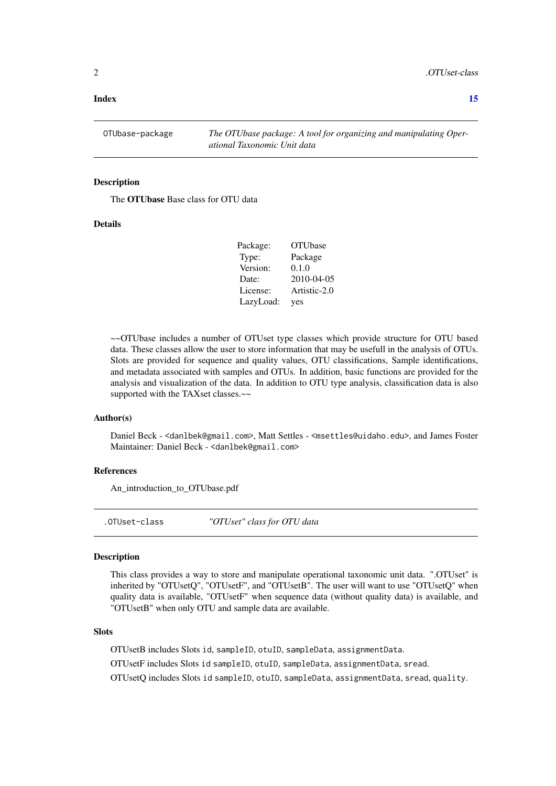#### <span id="page-1-0"></span>**Index** [15](#page-14-0)

OTUbase-package *The OTUbase package: A tool for organizing and manipulating Operational Taxonomic Unit data*

# Description

The OTUbase Base class for OTU data

#### Details

| Package:  | <b>OTUbase</b> |
|-----------|----------------|
| Type:     | Package        |
| Version:  | 0.1.0          |
| Date:     | 2010-04-05     |
| License:  | Artistic-2.0   |
| LazyLoad: | yes            |

~~OTUbase includes a number of OTUset type classes which provide structure for OTU based data. These classes allow the user to store information that may be usefull in the analysis of OTUs. Slots are provided for sequence and quality values, OTU classifications, Sample identifications, and metadata associated with samples and OTUs. In addition, basic functions are provided for the analysis and visualization of the data. In addition to OTU type analysis, classification data is also supported with the TAXset classes.~~

#### Author(s)

Daniel Beck - <danlbek@gmail.com>, Matt Settles - <msettles@uidaho.edu>, and James Foster Maintainer: Daniel Beck - <danlbek@gmail.com>

#### References

An\_introduction\_to\_OTUbase.pdf

.OTUset-class *"OTUset" class for OTU data*

#### Description

This class provides a way to store and manipulate operational taxonomic unit data. ".OTUset" is inherited by "OTUsetQ", "OTUsetF", and "OTUsetB". The user will want to use "OTUsetQ" when quality data is available, "OTUsetF" when sequence data (without quality data) is available, and "OTUsetB" when only OTU and sample data are available.

#### Slots

OTUsetB includes Slots id, sampleID, otuID, sampleData, assignmentData.

OTUsetF includes Slots id sampleID, otuID, sampleData, assignmentData, sread.

OTUsetQ includes Slots id sampleID, otuID, sampleData, assignmentData, sread, quality.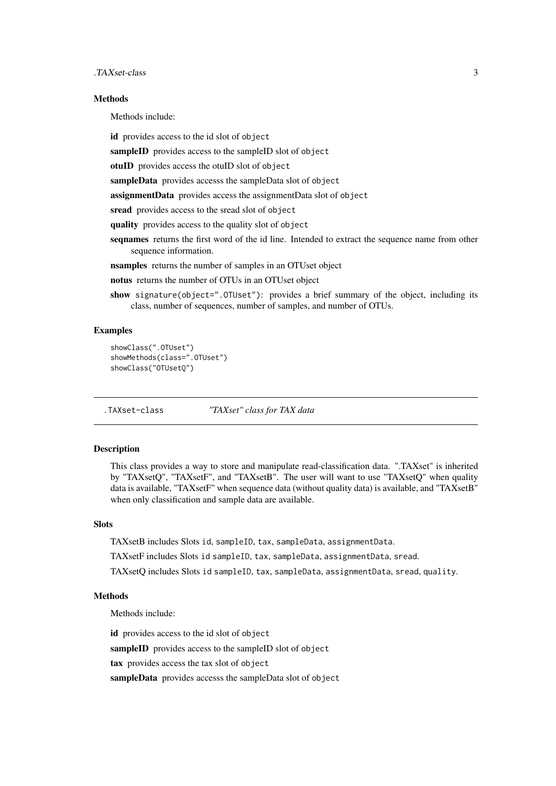#### <span id="page-2-0"></span>.TAXset-class 3

#### Methods

Methods include:

id provides access to the id slot of object

sampleID provides access to the sampleID slot of object

otuID provides access the otuID slot of object

sampleData provides accesss the sampleData slot of object

assignmentData provides access the assignmentData slot of object

sread provides access to the sread slot of object

quality provides access to the quality slot of object

seqnames returns the first word of the id line. Intended to extract the sequence name from other sequence information.

nsamples returns the number of samples in an OTUset object

notus returns the number of OTUs in an OTUset object

show signature(object=".0TUset"): provides a brief summary of the object, including its class, number of sequences, number of samples, and number of OTUs.

# Examples

```
showClass(".OTUset")
showMethods(class=".OTUset")
showClass("OTUsetQ")
```
.TAXset-class *"TAXset" class for TAX data*

#### Description

This class provides a way to store and manipulate read-classification data. ".TAXset" is inherited by "TAXsetQ", "TAXsetF", and "TAXsetB". The user will want to use "TAXsetQ" when quality data is available, "TAXsetF" when sequence data (without quality data) is available, and "TAXsetB" when only classification and sample data are available.

#### **Slots**

TAXsetB includes Slots id, sampleID, tax, sampleData, assignmentData.

TAXsetF includes Slots id sampleID, tax, sampleData, assignmentData, sread.

TAXsetQ includes Slots id sampleID, tax, sampleData, assignmentData, sread, quality.

#### **Methods**

Methods include:

id provides access to the id slot of object

sampleID provides access to the sampleID slot of object

tax provides access the tax slot of object

sampleData provides accesss the sampleData slot of object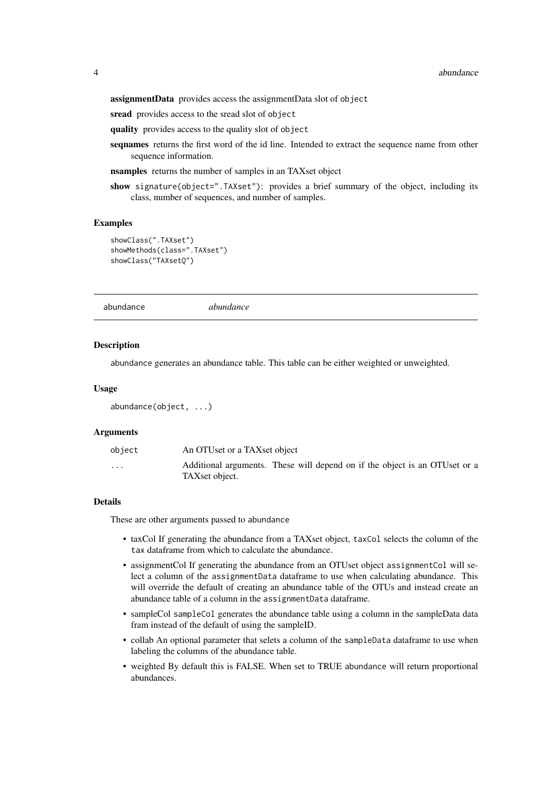<span id="page-3-0"></span>assignmentData provides access the assignmentData slot of object

sread provides access to the sread slot of object

quality provides access to the quality slot of object

seqnames returns the first word of the id line. Intended to extract the sequence name from other sequence information.

nsamples returns the number of samples in an TAXset object

show signature(object=".TAXset"): provides a brief summary of the object, including its class, number of sequences, and number of samples.

#### Examples

```
showClass(".TAXset")
showMethods(class=".TAXset")
showClass("TAXsetQ")
```
<span id="page-3-1"></span>abundance *abundance*

#### Description

abundance generates an abundance table. This table can be either weighted or unweighted.

#### Usage

```
abundance(object, ...)
```
#### Arguments

| object   | An OTUset or a TAXset object                                                                 |  |  |  |  |  |
|----------|----------------------------------------------------------------------------------------------|--|--|--|--|--|
| $\cdots$ | Additional arguments. These will depend on if the object is an OTUset or a<br>TAXset object. |  |  |  |  |  |

# Details

These are other arguments passed to abundance

- taxCol If generating the abundance from a TAXset object, taxCol selects the column of the tax dataframe from which to calculate the abundance.
- assignmentCol If generating the abundance from an OTUset object assignmentCol will select a column of the assignmentData dataframe to use when calculating abundance. This will override the default of creating an abundance table of the OTUs and instead create an abundance table of a column in the assignmentData dataframe.
- sampleCol sampleCol generates the abundance table using a column in the sampleData data fram instead of the default of using the sampleID.
- collab An optional parameter that selets a column of the sampleData dataframe to use when labeling the columns of the abundance table.
- weighted By default this is FALSE. When set to TRUE abundance will return proportional abundances.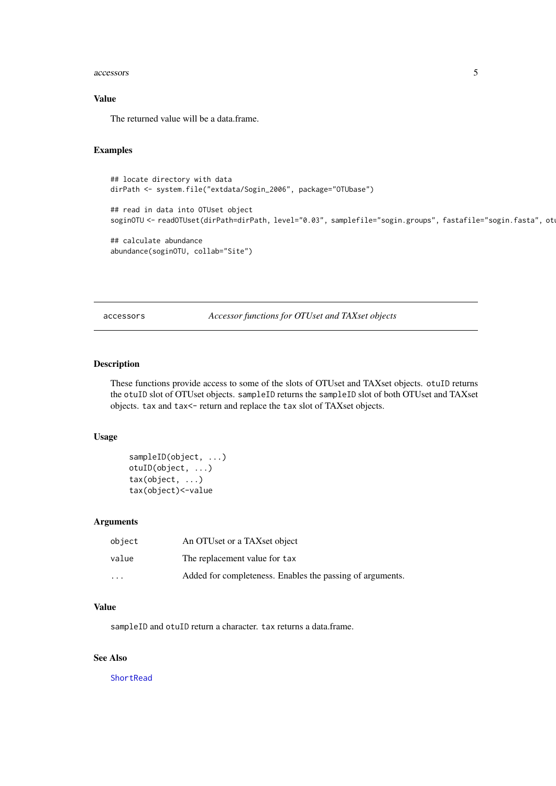#### <span id="page-4-0"></span>accessors 5

# Value

The returned value will be a data.frame.

# Examples

```
## locate directory with data
dirPath <- system.file("extdata/Sogin_2006", package="OTUbase")
## read in data into OTUset object
soginOTU <- readOTUset(dirPath=dirPath, level="0.03", samplefile="sogin.groups", fastafile="sogin.fasta", ot
## calculate abundance
abundance(soginOTU, collab="Site")
```
accessors *Accessor functions for OTUset and TAXset objects*

# Description

These functions provide access to some of the slots of OTUset and TAXset objects. otuID returns the otuID slot of OTUset objects. sampleID returns the sampleID slot of both OTUset and TAXset objects. tax and tax<- return and replace the tax slot of TAXset objects.

# Usage

```
sampleID(object, ...)
otuID(object, ...)
tax(object, ...)
tax(object)<-value
```
#### Arguments

| object   | An OTUset or a TAXset object                              |
|----------|-----------------------------------------------------------|
| value    | The replacement value for tax                             |
| $\cdots$ | Added for completeness. Enables the passing of arguments. |

# Value

sampleID and otuID return a character. tax returns a data.frame.

# See Also

**[ShortRead](#page-0-0)**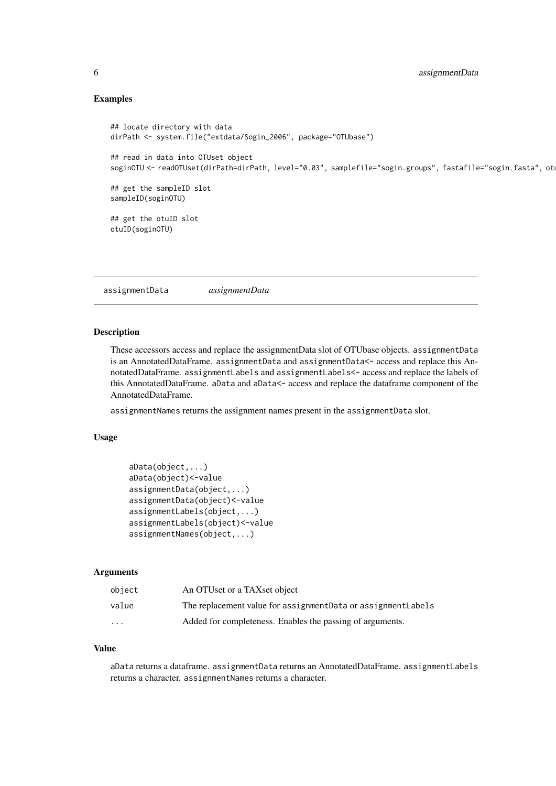#### Examples

```
## locate directory with data
dirPath <- system.file("extdata/Sogin_2006", package="OTUbase")
## read in data into OTUset object
soginOTU <- readOTUset(dirPath=dirPath, level="0.03", samplefile="sogin.groups", fastafile="sogin.fasta", ot
## get the sampleID slot
sampleID(soginOTU)
## get the otuID slot
otuID(soginOTU)
```
assignmentData *assignmentData*

# Description

These accessors access and replace the assignmentData slot of OTUbase objects. assignmentData is an AnnotatedDataFrame. assignmentData and assignmentData<- access and replace this AnnotatedDataFrame. assignmentLabels and assignmentLabels<- access and replace the labels of this AnnotatedDataFrame. aData and aData<- access and replace the dataframe component of the AnnotatedDataFrame.

assignmentNames returns the assignment names present in the assignmentData slot.

#### Usage

```
aData(object,...)
aData(object)<-value
assignmentData(object,...)
assignmentData(object)<-value
assignmentLabels(object,...)
assignmentLabels(object)<-value
assignmentNames(object,...)
```
#### Arguments

| object   | An OTUset or a TAXset object                                   |
|----------|----------------------------------------------------------------|
| value    | The replacement value for assignment Data or assignment Labels |
| $\cdots$ | Added for completeness. Enables the passing of arguments.      |

# Value

aData returns a dataframe. assignmentData returns an AnnotatedDataFrame. assignmentLabels returns a character. assignmentNames returns a character.

<span id="page-5-0"></span>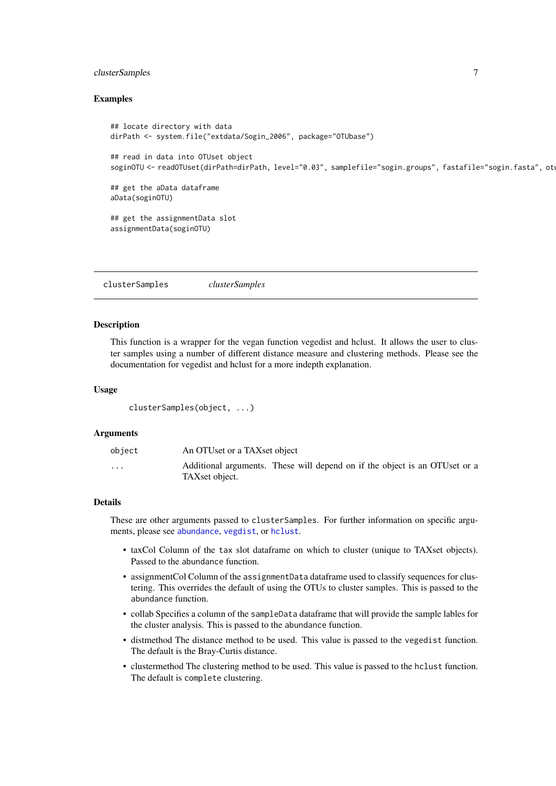#### <span id="page-6-0"></span>clusterSamples 7

#### Examples

```
## locate directory with data
dirPath <- system.file("extdata/Sogin_2006", package="OTUbase")
## read in data into OTUset object
soginOTU <- readOTUset(dirPath=dirPath, level="0.03", samplefile="sogin.groups", fastafile="sogin.fasta", ot
## get the aData dataframe
aData(soginOTU)
## get the assignmentData slot
assignmentData(soginOTU)
```
clusterSamples *clusterSamples*

#### Description

This function is a wrapper for the vegan function vegedist and hclust. It allows the user to cluster samples using a number of different distance measure and clustering methods. Please see the documentation for vegedist and hclust for a more indepth explanation.

#### Usage

```
clusterSamples(object, ...)
```
# Arguments

| object   | An OTUset or a TAXset object                                                                 |  |  |  |  |  |
|----------|----------------------------------------------------------------------------------------------|--|--|--|--|--|
| $\cdots$ | Additional arguments. These will depend on if the object is an OTUset or a<br>TAXset object. |  |  |  |  |  |

#### Details

These are other arguments passed to clusterSamples. For further information on specific arguments, please see [abundance](#page-3-1), [vegdist](#page-0-0), or [hclust](#page-0-0).

- taxCol Column of the tax slot dataframe on which to cluster (unique to TAXset objects). Passed to the abundance function.
- assignmentCol Column of the assignmentData dataframe used to classify sequences for clustering. This overrides the default of using the OTUs to cluster samples. This is passed to the abundance function.
- collab Specifies a column of the sampleData dataframe that will provide the sample lables for the cluster analysis. This is passed to the abundance function.
- distmethod The distance method to be used. This value is passed to the vegedist function. The default is the Bray-Curtis distance.
- clustermethod The clustering method to be used. This value is passed to the hclust function. The default is complete clustering.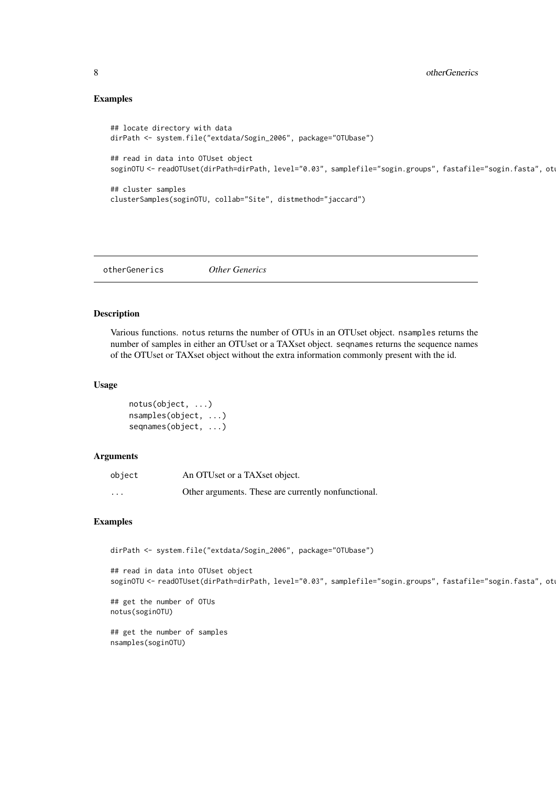# Examples

```
## locate directory with data
dirPath <- system.file("extdata/Sogin_2006", package="OTUbase")
## read in data into OTUset object
soginOTU <- readOTUset(dirPath=dirPath, level="0.03", samplefile="sogin.groups", fastafile="sogin.fasta", ot
## cluster samples
clusterSamples(soginOTU, collab="Site", distmethod="jaccard")
```
otherGenerics *Other Generics*

#### Description

Various functions. notus returns the number of OTUs in an OTUset object. nsamples returns the number of samples in either an OTUset or a TAXset object. seqnames returns the sequence names of the OTUset or TAXset object without the extra information commonly present with the id.

# Usage

```
notus(object, ...)
nsamples(object, ...)
seqnames(object, ...)
```
# Arguments

| object   | An OTUset or a TAXset object.                       |
|----------|-----------------------------------------------------|
| $\cdots$ | Other arguments. These are currently nonfunctional. |

#### Examples

```
dirPath <- system.file("extdata/Sogin_2006", package="OTUbase")
```
## read in data into OTUset object soginOTU <- readOTUset(dirPath=dirPath, level="0.03", samplefile="sogin.groups", fastafile="sogin.fasta", ot

```
## get the number of OTUs
notus(soginOTU)
```
## get the number of samples nsamples(soginOTU)

<span id="page-7-0"></span>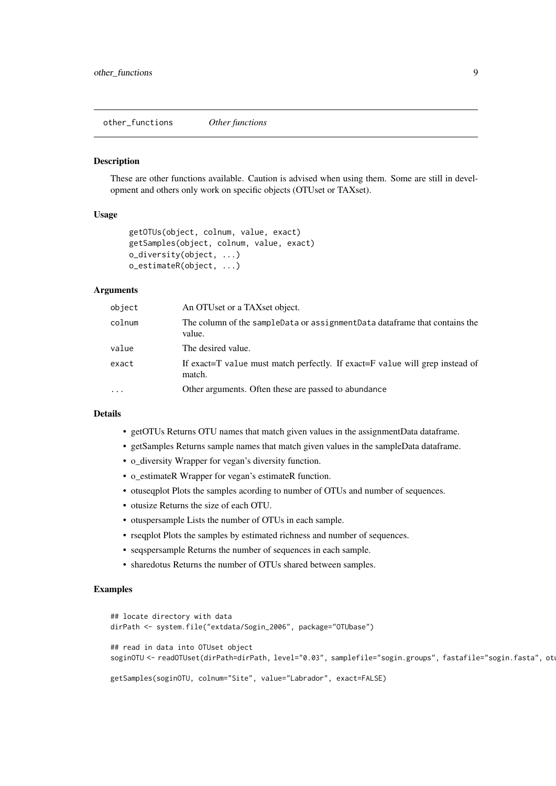<span id="page-8-0"></span>other\_functions *Other functions*

#### Description

These are other functions available. Caution is advised when using them. Some are still in development and others only work on specific objects (OTUset or TAXset).

#### Usage

```
getOTUs(object, colnum, value, exact)
getSamples(object, colnum, value, exact)
o_diversity(object, ...)
o_estimateR(object, ...)
```
#### Arguments

| object     | An OTUset or a TAXset object.                                                          |
|------------|----------------------------------------------------------------------------------------|
| colnum     | The column of the sampleData or assignmentData data frame that contains the<br>value.  |
| value      | The desired value.                                                                     |
| exact      | If exact=T value must match perfectly. If exact=F value will grep instead of<br>match. |
| $\ddots$ . | Other arguments. Often these are passed to abundance                                   |

# Details

- getOTUs Returns OTU names that match given values in the assignmentData dataframe.
- getSamples Returns sample names that match given values in the sampleData dataframe.
- o\_diversity Wrapper for vegan's diversity function.
- o\_estimateR Wrapper for vegan's estimateR function.
- otuseqplot Plots the samples acording to number of OTUs and number of sequences.
- otusize Returns the size of each OTU.
- otuspersample Lists the number of OTUs in each sample.
- rseqplot Plots the samples by estimated richness and number of sequences.
- seqspersample Returns the number of sequences in each sample.
- sharedotus Returns the number of OTUs shared between samples.

# Examples

```
## locate directory with data
dirPath <- system.file("extdata/Sogin_2006", package="OTUbase")
## read in data into OTUset object
soginOTU <- readOTUset(dirPath=dirPath, level="0.03", samplefile="sogin.groups", fastafile="sogin.fasta", ot
getSamples(soginOTU, colnum="Site", value="Labrador", exact=FALSE)
```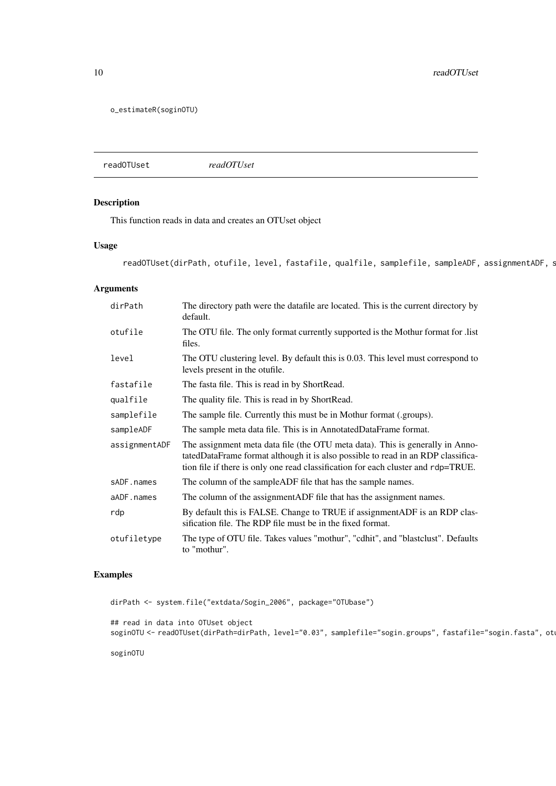<span id="page-9-0"></span>10 readOTUset

o\_estimateR(soginOTU)

readOTUset *readOTUset*

# Description

This function reads in data and creates an OTUset object

# Usage

readOTUset(dirPath, otufile, level, fastafile, qualfile, samplefile, sampleADF, assignmentADF, s

### Arguments

| dirPath       | The directory path were the datafile are located. This is the current directory by<br>default.                                                                                                                                                         |
|---------------|--------------------------------------------------------------------------------------------------------------------------------------------------------------------------------------------------------------------------------------------------------|
| otufile       | The OTU file. The only format currently supported is the Mothur format for list<br>files.                                                                                                                                                              |
| level         | The OTU clustering level. By default this is 0.03. This level must correspond to<br>levels present in the otufile.                                                                                                                                     |
| fastafile     | The fasta file. This is read in by ShortRead.                                                                                                                                                                                                          |
| qualfile      | The quality file. This is read in by ShortRead.                                                                                                                                                                                                        |
| samplefile    | The sample file. Currently this must be in Mothur format (.groups).                                                                                                                                                                                    |
| sampleADF     | The sample meta data file. This is in AnnotatedDataFrame format.                                                                                                                                                                                       |
| assignmentADF | The assignment meta data file (the OTU meta data). This is generally in Anno-<br>tatedDataFrame format although it is also possible to read in an RDP classifica-<br>tion file if there is only one read classification for each cluster and rdp=TRUE. |
| sADF.names    | The column of the sample ADF file that has the sample names.                                                                                                                                                                                           |
| aADF.names    | The column of the assignment ADF file that has the assignment names.                                                                                                                                                                                   |
| rdp           | By default this is FALSE. Change to TRUE if assignment ADF is an RDP clas-<br>sification file. The RDP file must be in the fixed format.                                                                                                               |
| otufiletype   | The type of OTU file. Takes values "mothur", "cdhit", and "blastclust". Defaults<br>to "mothur".                                                                                                                                                       |

# Examples

dirPath <- system.file("extdata/Sogin\_2006", package="OTUbase") ## read in data into OTUset object soginOTU <- readOTUset(dirPath=dirPath, level="0.03", samplefile="sogin.groups", fastafile="sogin.fasta", ot soginOTU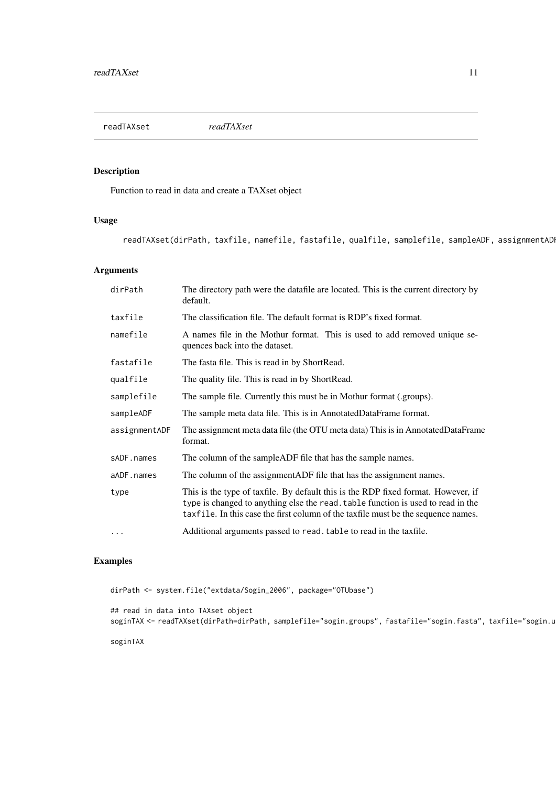<span id="page-10-0"></span>

# Description

Function to read in data and create a TAXset object

# Usage

readTAXset(dirPath, taxfile, namefile, fastafile, qualfile, samplefile, sampleADF, assignmentAD

# Arguments

| dirPath       | The directory path were the datafile are located. This is the current directory by<br>default.                                                                                                                                                             |
|---------------|------------------------------------------------------------------------------------------------------------------------------------------------------------------------------------------------------------------------------------------------------------|
| taxfile       | The classification file. The default format is RDP's fixed format.                                                                                                                                                                                         |
| namefile      | A names file in the Mothur format. This is used to add removed unique se-<br>quences back into the dataset.                                                                                                                                                |
| fastafile     | The fasta file. This is read in by ShortRead.                                                                                                                                                                                                              |
| qualfile      | The quality file. This is read in by ShortRead.                                                                                                                                                                                                            |
| samplefile    | The sample file. Currently this must be in Mothur format (.groups).                                                                                                                                                                                        |
| sampleADF     | The sample meta data file. This is in AnnotatedDataFrame format.                                                                                                                                                                                           |
| assignmentADF | The assignment meta data file (the OTU meta data) This is in AnnotatedDataFrame<br>format.                                                                                                                                                                 |
| sADF.names    | The column of the sample ADF file that has the sample names.                                                                                                                                                                                               |
| aADF.names    | The column of the assignment ADF file that has the assignment names.                                                                                                                                                                                       |
| type          | This is the type of taxfile. By default this is the RDP fixed format. However, if<br>type is changed to anything else the read, table function is used to read in the<br>taxfile. In this case the first column of the taxfile must be the sequence names. |
| $\cdots$      | Additional arguments passed to read, table to read in the taxfile.                                                                                                                                                                                         |

# Examples

dirPath <- system.file("extdata/Sogin\_2006", package="OTUbase") ## read in data into TAXset object soginTAX <- readTAXset(dirPath=dirPath, samplefile="sogin.groups", fastafile="sogin.fasta", taxfile="sogin.u soginTAX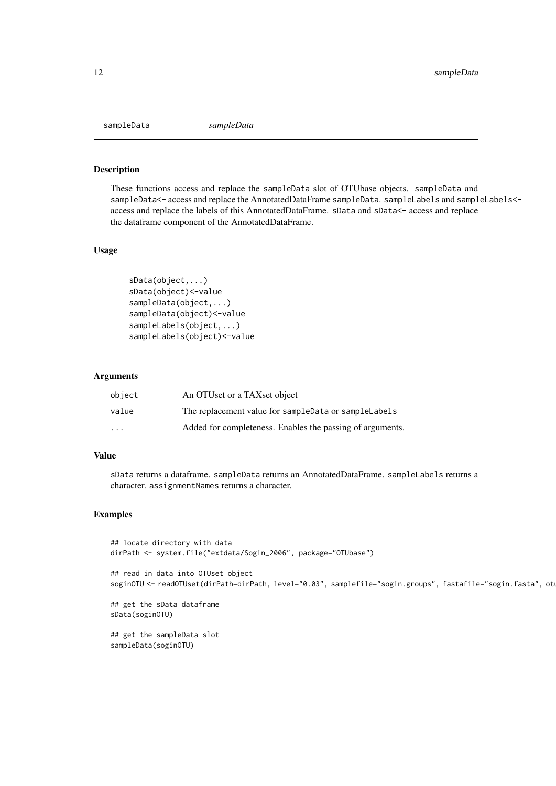<span id="page-11-0"></span>sampleData *sampleData*

#### Description

These functions access and replace the sampleData slot of OTUbase objects. sampleData and sampleData<- access and replace the AnnotatedDataFrame sampleData. sampleLabels and sampleLabels<access and replace the labels of this AnnotatedDataFrame. sData and sData<- access and replace the dataframe component of the AnnotatedDataFrame.

# Usage

```
sData(object,...)
sData(object)<-value
sampleData(object,...)
sampleData(object)<-value
sampleLabels(object,...)
sampleLabels(object)<-value
```
# Arguments

| object                  | An OTUset or a TAXset object                              |
|-------------------------|-----------------------------------------------------------|
| value                   | The replacement value for sampleData or sampleLabels      |
| $\cdot$ $\cdot$ $\cdot$ | Added for completeness. Enables the passing of arguments. |

# Value

sData returns a dataframe. sampleData returns an AnnotatedDataFrame. sampleLabels returns a character. assignmentNames returns a character.

#### Examples

```
## locate directory with data
dirPath <- system.file("extdata/Sogin_2006", package="OTUbase")
## read in data into OTUset object
soginOTU <- readOTUset(dirPath=dirPath, level="0.03", samplefile="sogin.groups", fastafile="sogin.fasta", ot
## get the sData dataframe
sData(soginOTU)
## get the sampleData slot
sampleData(soginOTU)
```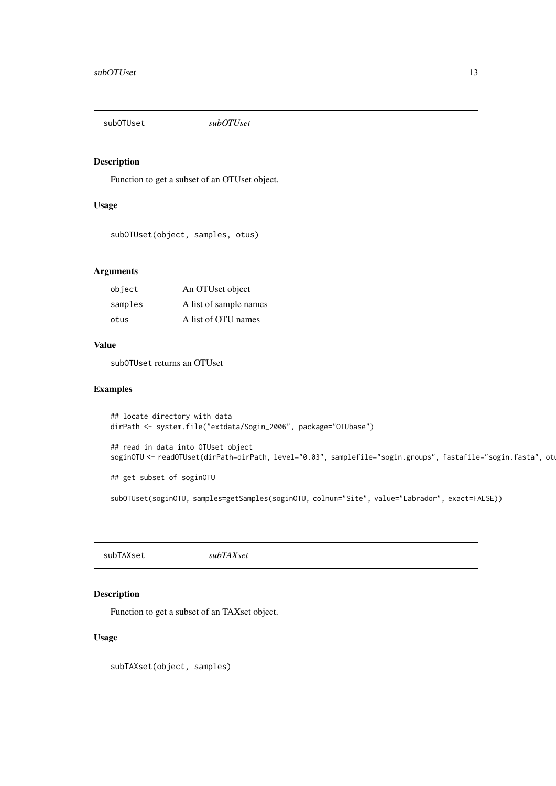<span id="page-12-0"></span>subOTUset *subOTUset*

# Description

Function to get a subset of an OTUset object.

# Usage

```
subOTUset(object, samples, otus)
```
# Arguments

| object  | An OTUset object       |
|---------|------------------------|
| samples | A list of sample names |
| otus    | A list of OTU names    |

# Value

subOTUset returns an OTUset

# Examples

```
## locate directory with data
dirPath <- system.file("extdata/Sogin_2006", package="OTUbase")
## read in data into OTUset object
soginOTU <- readOTUset(dirPath=dirPath, level="0.03", samplefile="sogin.groups", fastafile="sogin.fasta", ot
## get subset of soginOTU
subOTUset(soginOTU, samples=getSamples(soginOTU, colnum="Site", value="Labrador", exact=FALSE))
```
subTAXset *subTAXset*

# Description

Function to get a subset of an TAXset object.

# Usage

subTAXset(object, samples)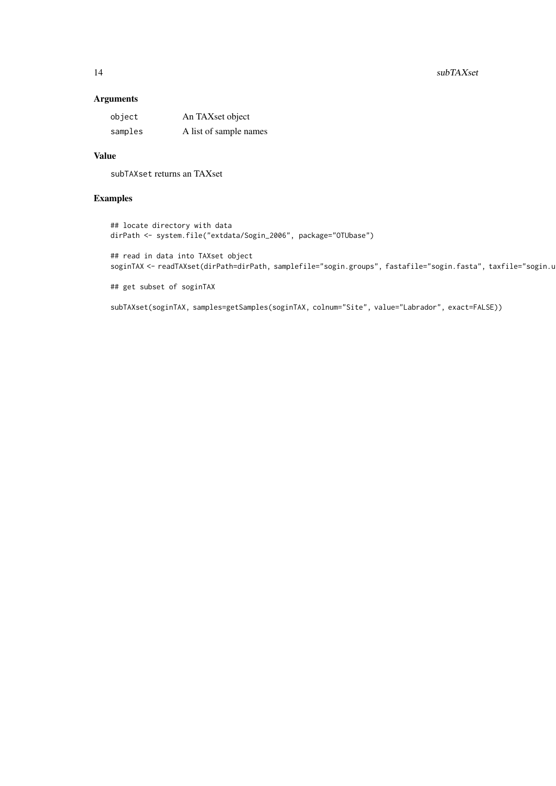#### 14 subTAXset

# Arguments

| object  | An TAXset object       |
|---------|------------------------|
| samples | A list of sample names |

# Value

subTAXset returns an TAXset

# Examples

## locate directory with data dirPath <- system.file("extdata/Sogin\_2006", package="OTUbase")

## read in data into TAXset object soginTAX <- readTAXset(dirPath=dirPath, samplefile="sogin.groups", fastafile="sogin.fasta", taxfile="sogin.u

## get subset of soginTAX

subTAXset(soginTAX, samples=getSamples(soginTAX, colnum="Site", value="Labrador", exact=FALSE))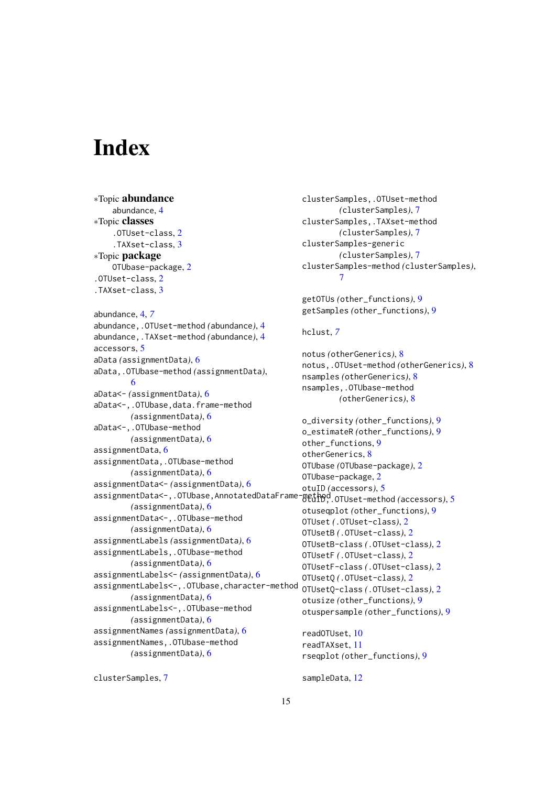# <span id="page-14-0"></span>Index

∗Topic abundance abundance, [4](#page-3-0) ∗Topic classes .OTUset-class, [2](#page-1-0) .TAXset-class, [3](#page-2-0) ∗Topic package OTUbase-package, [2](#page-1-0) .OTUset-class, [2](#page-1-0) .TAXset-class, [3](#page-2-0) abundance, [4,](#page-3-0) *[7](#page-6-0)* abundance,.OTUset-method *(*abundance*)*, [4](#page-3-0) abundance,.TAXset-method *(*abundance*)*, [4](#page-3-0) accessors, [5](#page-4-0) aData *(*assignmentData*)*, [6](#page-5-0) aData,.OTUbase-method *(*assignmentData*)*, [6](#page-5-0) aData<- *(*assignmentData*)*, [6](#page-5-0) aData<-,.OTUbase,data.frame-method *(*assignmentData*)*, [6](#page-5-0) aData<-,.OTUbase-method *(*assignmentData*)*, [6](#page-5-0) assignmentData, [6](#page-5-0) assignmentData,.OTUbase-method *(*assignmentData*)*, [6](#page-5-0) assignmentData<- *(*assignmentData*)*, [6](#page-5-0) assignmentData<-,.OTUbase,AnnotatedDataFrame-method<sup>o</sup>.OTUset-method *(accessors)*,[5](#page-4-0) *(*assignmentData*)*, [6](#page-5-0) assignmentData<-,.OTUbase-method *(*assignmentData*)*, [6](#page-5-0) assignmentLabels *(*assignmentData*)*, [6](#page-5-0) assignmentLabels,.OTUbase-method *(*assignmentData*)*, [6](#page-5-0) assignmentLabels<- *(*assignmentData*)*, [6](#page-5-0) assignmentLabels<-,.OTUbase,character-method *(*assignmentData*)*, [6](#page-5-0) assignmentLabels<-,.OTUbase-method *(*assignmentData*)*, [6](#page-5-0) assignmentNames *(*assignmentData*)*, [6](#page-5-0) assignmentNames,.OTUbase-method *(*assignmentData*)*, [6](#page-5-0)

```
clusterSamples,.OTUset-method
        (clusterSamples), 7
clusterSamples,.TAXset-method
        (clusterSamples), 7
clusterSamples-generic
        (clusterSamples), 7
clusterSamples-method (clusterSamples),
        7
getOTUs (other_functions), 9
getSamples (other_functions), 9
hclust, 7
notus (otherGenerics), 8
notus,.OTUset-method (otherGenerics), 8
nsamples (otherGenerics), 8
nsamples,.OTUbase-method
        (otherGenerics), 8
o_diversity (other_functions), 9
o_estimateR (other_functions), 9
9
otherGenerics, 8
OTUbase (OTUbase-package), 2
OTUbase-package, 2
otuID (accessors), 5
otuseqplot (other_functions), 9
OTUset (.OTUset-class), 2
OTUsetB (.OTUset-class), 2
OTUsetB-class (.OTUset-class), 2
OTUsetF (.OTUset-class), 2
OTUsetF-class (.OTUset-class), 2
OTUsetQ (.OTUset-class), 2
OTUsetQ-class (.OTUset-class), 2
otusize (other_functions), 9
otuspersample (other_functions), 9
readOTUset, 10
readTAXset, 11
rseqplot (other_functions), 9
```
clusterSamples, [7](#page-6-0)

sampleData, [12](#page-11-0)